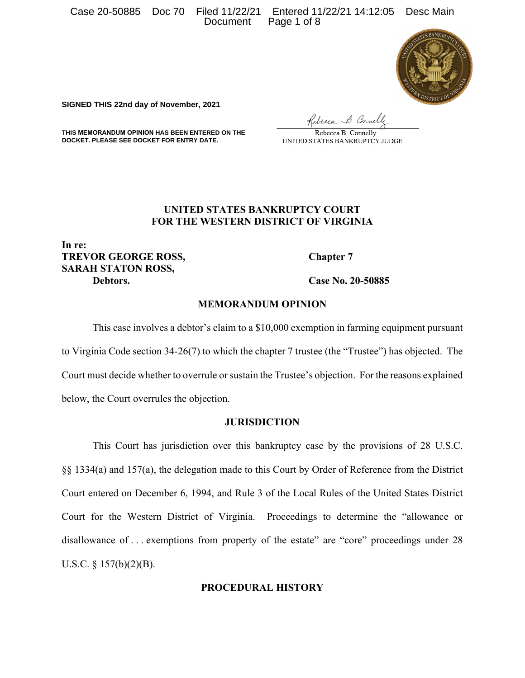Case 20-50885 Doc 70 Filed 11/22/21 Entered 11/22/21 14:12:05 Desc Main Document Page 1 of 8



**SIGNED THIS 22nd day of November, 2021**

Rebecca & Connelle

**THIS MEMORANDUM OPINION HAS BEEN ENTERED ON THE DOCKET. PLEASE SEE DOCKET FOR ENTRY DATE.**

Rebecca B. Connelly UNITED STATES BANKRUPTCY JUDGE

## **UNITED STATES BANKRUPTCY COURT FOR THE WESTERN DISTRICT OF VIRGINIA**

**In re: TREVOR GEORGE ROSS, Chapter 7 SARAH STATON ROSS, Debtors. Case No. 20-50885** 

## **MEMORANDUM OPINION**

This case involves a debtor's claim to a \$10,000 exemption in farming equipment pursuant to Virginia Code section 34-26(7) to which the chapter 7 trustee (the "Trustee") has objected. The Court must decide whether to overrule or sustain the Trustee's objection. For the reasons explained below, the Court overrules the objection.

### **JURISDICTION**

This Court has jurisdiction over this bankruptcy case by the provisions of 28 U.S.C. §§ 1334(a) and 157(a), the delegation made to this Court by Order of Reference from the District Court entered on December 6, 1994, and Rule 3 of the Local Rules of the United States District Court for the Western District of Virginia. Proceedings to determine the "allowance or disallowance of ... exemptions from property of the estate" are "core" proceedings under 28 U.S.C. § 157(b)(2)(B).

# **PROCEDURAL HISTORY**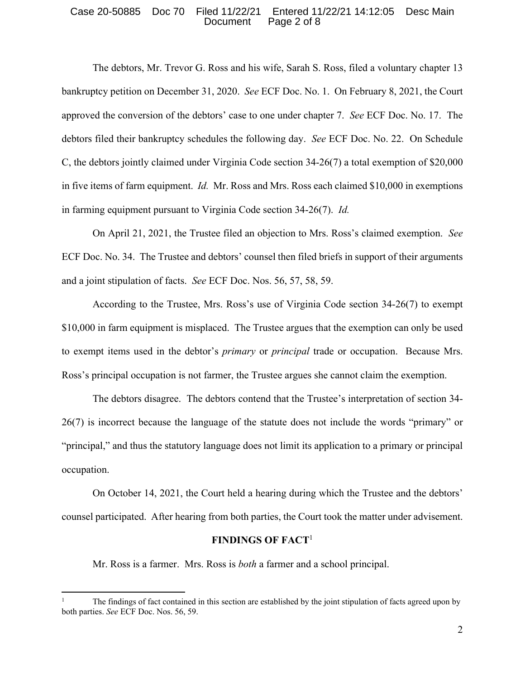#### Case 20-50885 Doc 70 Filed 11/22/21 Entered 11/22/21 14:12:05 Desc Main Document Page 2 of 8

 The debtors, Mr. Trevor G. Ross and his wife, Sarah S. Ross, filed a voluntary chapter 13 bankruptcy petition on December 31, 2020. *See* ECF Doc. No. 1. On February 8, 2021, the Court approved the conversion of the debtors' case to one under chapter 7. *See* ECF Doc. No. 17. The debtors filed their bankruptcy schedules the following day. *See* ECF Doc. No. 22. On Schedule C, the debtors jointly claimed under Virginia Code section 34-26(7) a total exemption of \$20,000 in five items of farm equipment. *Id.* Mr. Ross and Mrs. Ross each claimed \$10,000 in exemptions in farming equipment pursuant to Virginia Code section 34-26(7). *Id.*

 On April 21, 2021, the Trustee filed an objection to Mrs. Ross's claimed exemption. *See*  ECF Doc. No. 34. The Trustee and debtors' counsel then filed briefs in support of their arguments and a joint stipulation of facts. *See* ECF Doc. Nos. 56, 57, 58, 59.

 According to the Trustee, Mrs. Ross's use of Virginia Code section 34-26(7) to exempt \$10,000 in farm equipment is misplaced. The Trustee argues that the exemption can only be used to exempt items used in the debtor's *primary* or *principal* trade or occupation. Because Mrs. Ross's principal occupation is not farmer, the Trustee argues she cannot claim the exemption.

 The debtors disagree. The debtors contend that the Trustee's interpretation of section 34- 26(7) is incorrect because the language of the statute does not include the words "primary" or "principal," and thus the statutory language does not limit its application to a primary or principal occupation.

 On October 14, 2021, the Court held a hearing during which the Trustee and the debtors' counsel participated. After hearing from both parties, the Court took the matter under advisement.

### **FINDINGS OF FACT**<sup>1</sup>

Mr. Ross is a farmer. Mrs. Ross is *both* a farmer and a school principal.

<sup>1</sup> The findings of fact contained in this section are established by the joint stipulation of facts agreed upon by both parties. *See* ECF Doc. Nos. 56, 59.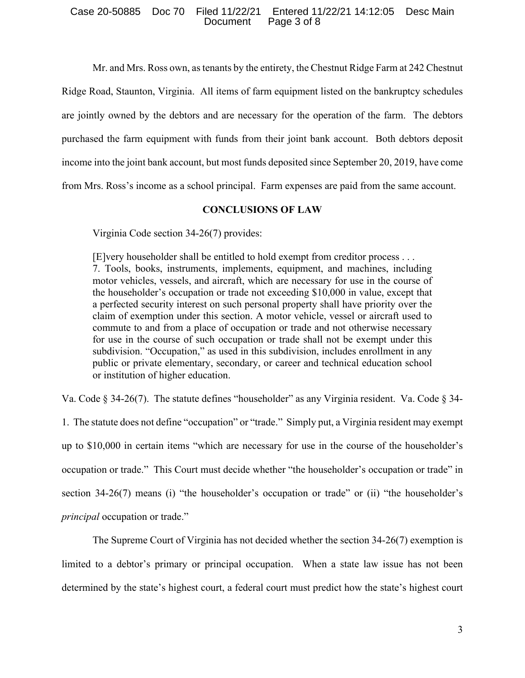### Case 20-50885 Doc 70 Filed 11/22/21 Entered 11/22/21 14:12:05 Desc Main Document Page 3 of 8

Mr. and Mrs. Ross own, as tenants by the entirety, the Chestnut Ridge Farm at 242 Chestnut

Ridge Road, Staunton, Virginia. All items of farm equipment listed on the bankruptcy schedules

are jointly owned by the debtors and are necessary for the operation of the farm. The debtors

purchased the farm equipment with funds from their joint bank account. Both debtors deposit

income into the joint bank account, but most funds deposited since September 20, 2019, have come

from Mrs. Ross's income as a school principal. Farm expenses are paid from the same account.

### **CONCLUSIONS OF LAW**

Virginia Code section 34-26(7) provides:

[E]very householder shall be entitled to hold exempt from creditor process . . . 7. Tools, books, instruments, implements, equipment, and machines, including motor vehicles, vessels, and aircraft, which are necessary for use in the course of the householder's occupation or trade not exceeding \$10,000 in value, except that a perfected security interest on such personal property shall have priority over the claim of exemption under this section. A motor vehicle, vessel or aircraft used to commute to and from a place of occupation or trade and not otherwise necessary for use in the course of such occupation or trade shall not be exempt under this subdivision. "Occupation," as used in this subdivision, includes enrollment in any public or private elementary, secondary, or career and technical education school or institution of higher education.

Va. Code § 34-26(7).The statute defines "householder" as any Virginia resident. Va. Code § 34-

1. The statute does not define "occupation" or "trade." Simply put, a Virginia resident may exempt up to \$10,000 in certain items "which are necessary for use in the course of the householder's occupation or trade." This Court must decide whether "the householder's occupation or trade" in section 34-26(7) means (i) "the householder's occupation or trade" or (ii) "the householder's *principal* occupation or trade."

 The Supreme Court of Virginia has not decided whether the section 34-26(7) exemption is limited to a debtor's primary or principal occupation. When a state law issue has not been determined by the state's highest court, a federal court must predict how the state's highest court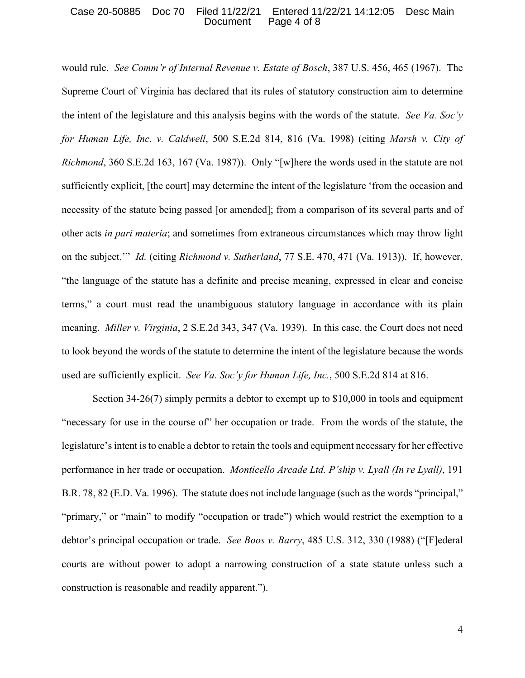### Case 20-50885 Doc 70 Filed 11/22/21 Entered 11/22/21 14:12:05 Desc Main Document Page 4 of 8

would rule. *See Comm'r of Internal Revenue v. Estate of Bosch*, 387 U.S. 456, 465 (1967). The Supreme Court of Virginia has declared that its rules of statutory construction aim to determine the intent of the legislature and this analysis begins with the words of the statute. *See Va. Soc'y for Human Life, Inc. v. Caldwell*, 500 S.E.2d 814, 816 (Va. 1998) (citing *Marsh v. City of Richmond*, 360 S.E.2d 163, 167 (Va. 1987)). Only "[w]here the words used in the statute are not sufficiently explicit, [the court] may determine the intent of the legislature 'from the occasion and necessity of the statute being passed [or amended]; from a comparison of its several parts and of other acts *in pari materia*; and sometimes from extraneous circumstances which may throw light on the subject.'" *Id.* (citing *Richmond v. Sutherland*, 77 S.E. 470, 471 (Va. 1913)). If, however, "the language of the statute has a definite and precise meaning, expressed in clear and concise terms," a court must read the unambiguous statutory language in accordance with its plain meaning. *Miller v. Virginia*, 2 S.E.2d 343, 347 (Va. 1939). In this case, the Court does not need to look beyond the words of the statute to determine the intent of the legislature because the words used are sufficiently explicit. *See Va. Soc'y for Human Life, Inc.*, 500 S.E.2d 814 at 816.

 Section 34-26(7) simply permits a debtor to exempt up to \$10,000 in tools and equipment "necessary for use in the course of" her occupation or trade. From the words of the statute, the legislature's intent is to enable a debtor to retain the tools and equipment necessary for her effective performance in her trade or occupation. *Monticello Arcade Ltd. P'ship v. Lyall (In re Lyall)*, 191 B.R. 78, 82 (E.D. Va. 1996). The statute does not include language (such as the words "principal," "primary," or "main" to modify "occupation or trade") which would restrict the exemption to a debtor's principal occupation or trade. *See Boos v. Barry*, 485 U.S. 312, 330 (1988) ("[F]ederal courts are without power to adopt a narrowing construction of a state statute unless such a construction is reasonable and readily apparent.").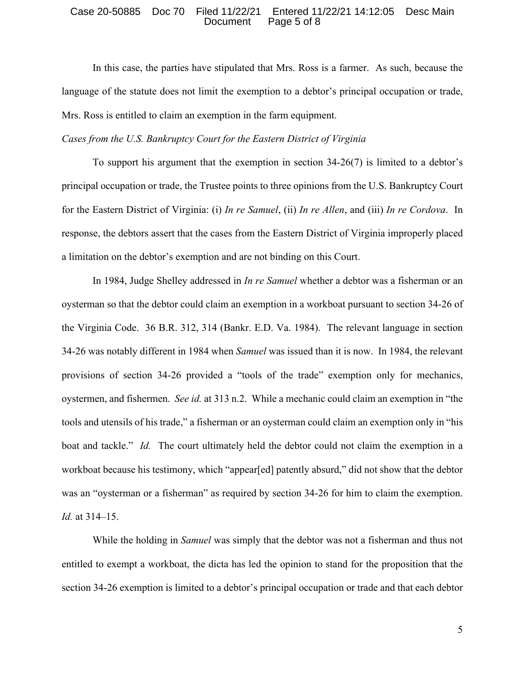#### Case 20-50885 Doc 70 Filed 11/22/21 Entered 11/22/21 14:12:05 Desc Main Document Page 5 of 8

 In this case, the parties have stipulated that Mrs. Ross is a farmer. As such, because the language of the statute does not limit the exemption to a debtor's principal occupation or trade, Mrs. Ross is entitled to claim an exemption in the farm equipment.

*Cases from the U.S. Bankruptcy Court for the Eastern District of Virginia*

 To support his argument that the exemption in section 34-26(7) is limited to a debtor's principal occupation or trade, the Trustee points to three opinions from the U.S. Bankruptcy Court for the Eastern District of Virginia: (i) *In re Samuel*, (ii) *In re Allen*, and (iii) *In re Cordova*. In response, the debtors assert that the cases from the Eastern District of Virginia improperly placed a limitation on the debtor's exemption and are not binding on this Court.

 In 1984, Judge Shelley addressed in *In re Samuel* whether a debtor was a fisherman or an oysterman so that the debtor could claim an exemption in a workboat pursuant to section 34-26 of the Virginia Code. 36 B.R. 312, 314 (Bankr. E.D. Va. 1984). The relevant language in section 34-26 was notably different in 1984 when *Samuel* was issued than it is now. In 1984, the relevant provisions of section 34-26 provided a "tools of the trade" exemption only for mechanics, oystermen, and fishermen. *See id.* at 313 n.2. While a mechanic could claim an exemption in "the tools and utensils of his trade," a fisherman or an oysterman could claim an exemption only in "his boat and tackle." *Id.* The court ultimately held the debtor could not claim the exemption in a workboat because his testimony, which "appear[ed] patently absurd," did not show that the debtor was an "oysterman or a fisherman" as required by section 34-26 for him to claim the exemption. *Id.* at 314–15.

While the holding in *Samuel* was simply that the debtor was not a fisherman and thus not entitled to exempt a workboat, the dicta has led the opinion to stand for the proposition that the section 34-26 exemption is limited to a debtor's principal occupation or trade and that each debtor

5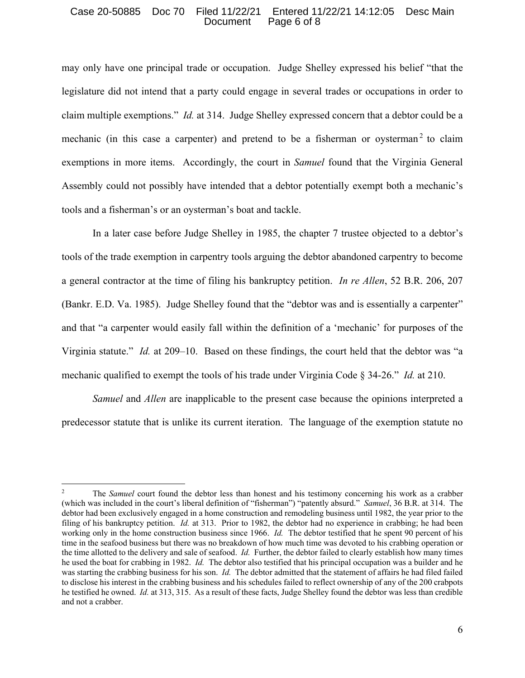### Case 20-50885 Doc 70 Filed 11/22/21 Entered 11/22/21 14:12:05 Desc Main Document Page 6 of 8

may only have one principal trade or occupation. Judge Shelley expressed his belief "that the legislature did not intend that a party could engage in several trades or occupations in order to claim multiple exemptions." *Id.* at 314. Judge Shelley expressed concern that a debtor could be a mechanic (in this case a carpenter) and pretend to be a fisherman or oysterman<sup>2</sup> to claim exemptions in more items. Accordingly, the court in *Samuel* found that the Virginia General Assembly could not possibly have intended that a debtor potentially exempt both a mechanic's tools and a fisherman's or an oysterman's boat and tackle.

 In a later case before Judge Shelley in 1985, the chapter 7 trustee objected to a debtor's tools of the trade exemption in carpentry tools arguing the debtor abandoned carpentry to become a general contractor at the time of filing his bankruptcy petition. *In re Allen*, 52 B.R. 206, 207 (Bankr. E.D. Va. 1985). Judge Shelley found that the "debtor was and is essentially a carpenter" and that "a carpenter would easily fall within the definition of a 'mechanic' for purposes of the Virginia statute." *Id.* at 209–10. Based on these findings, the court held that the debtor was "a mechanic qualified to exempt the tools of his trade under Virginia Code § 34-26." *Id.* at 210.

*Samuel* and *Allen* are inapplicable to the present case because the opinions interpreted a predecessor statute that is unlike its current iteration. The language of the exemption statute no

<sup>2</sup> The *Samuel* court found the debtor less than honest and his testimony concerning his work as a crabber (which was included in the court's liberal definition of "fisherman") "patently absurd." *Samuel*, 36 B.R. at 314. The debtor had been exclusively engaged in a home construction and remodeling business until 1982, the year prior to the filing of his bankruptcy petition. *Id.* at 313. Prior to 1982, the debtor had no experience in crabbing; he had been working only in the home construction business since 1966. *Id.* The debtor testified that he spent 90 percent of his time in the seafood business but there was no breakdown of how much time was devoted to his crabbing operation or the time allotted to the delivery and sale of seafood. *Id.* Further, the debtor failed to clearly establish how many times he used the boat for crabbing in 1982. *Id.* The debtor also testified that his principal occupation was a builder and he was starting the crabbing business for his son. *Id.* The debtor admitted that the statement of affairs he had filed failed to disclose his interest in the crabbing business and his schedules failed to reflect ownership of any of the 200 crabpots he testified he owned. *Id.* at 313, 315. As a result of these facts, Judge Shelley found the debtor was less than credible and not a crabber.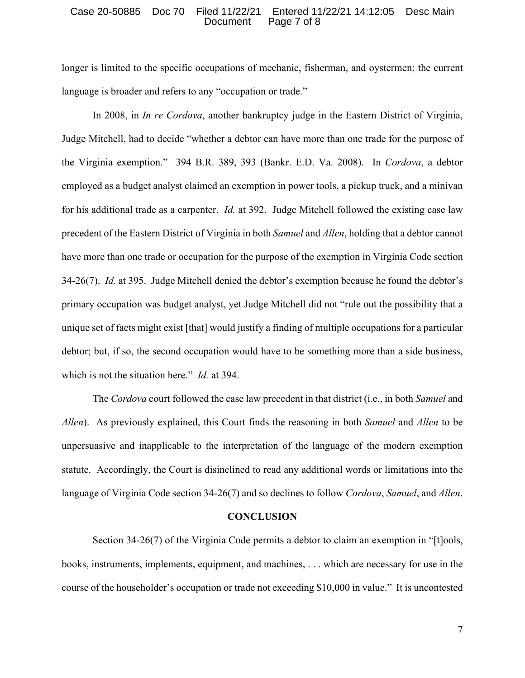#### Case 20-50885 Doc 70 Filed 11/22/21 Entered 11/22/21 14:12:05 Desc Main Document Page 7 of 8

longer is limited to the specific occupations of mechanic, fisherman, and oystermen; the current language is broader and refers to any "occupation or trade."

 In 2008, in *In re Cordova*, another bankruptcy judge in the Eastern District of Virginia, Judge Mitchell, had to decide "whether a debtor can have more than one trade for the purpose of the Virginia exemption." 394 B.R. 389, 393 (Bankr. E.D. Va. 2008). In *Cordova*, a debtor employed as a budget analyst claimed an exemption in power tools, a pickup truck, and a minivan for his additional trade as a carpenter. *Id.* at 392. Judge Mitchell followed the existing case law precedent of the Eastern District of Virginia in both *Samuel* and *Allen*, holding that a debtor cannot have more than one trade or occupation for the purpose of the exemption in Virginia Code section 34-26(7). *Id.* at 395. Judge Mitchell denied the debtor's exemption because he found the debtor's primary occupation was budget analyst, yet Judge Mitchell did not "rule out the possibility that a unique set of facts might exist [that] would justify a finding of multiple occupations for a particular debtor; but, if so, the second occupation would have to be something more than a side business, which is not the situation here." *Id.* at 394.

 The *Cordova* court followed the case law precedent in that district (i.e., in both *Samuel* and *Allen*). As previously explained, this Court finds the reasoning in both *Samuel* and *Allen* to be unpersuasive and inapplicable to the interpretation of the language of the modern exemption statute. Accordingly, the Court is disinclined to read any additional words or limitations into the language of Virginia Code section 34-26(7) and so declines to follow *Cordova*, *Samuel*, and *Allen*.

#### **CONCLUSION**

 Section 34-26(7) of the Virginia Code permits a debtor to claim an exemption in "[t]ools, books, instruments, implements, equipment, and machines, . . . which are necessary for use in the course of the householder's occupation or trade not exceeding \$10,000 in value." It is uncontested